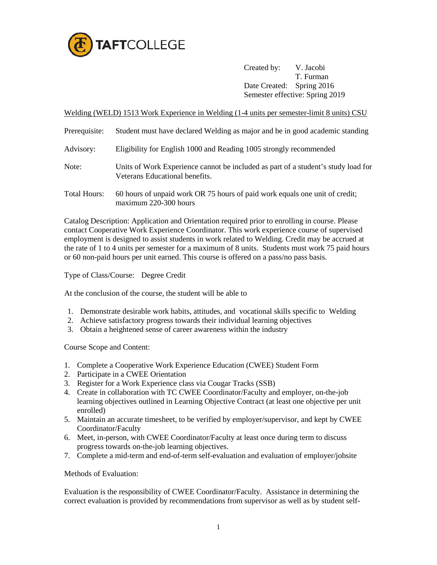

Created by: V. Jacobi T. Furman Date Created: Spring 2016 Semester effective: Spring 2019

Welding (WELD) 1513 Work Experience in Welding (1-4 units per semester-limit 8 units) CSU

| Prerequisite:       | Student must have declared Welding as major and be in good academic standing                                        |
|---------------------|---------------------------------------------------------------------------------------------------------------------|
| Advisory:           | Eligibility for English 1000 and Reading 1005 strongly recommended                                                  |
| Note:               | Units of Work Experience cannot be included as part of a student's study load for<br>Veterans Educational benefits. |
| <b>Total Hours:</b> | 60 hours of unpaid work OR 75 hours of paid work equals one unit of credit;<br>maximum 220-300 hours                |

Catalog Description: Application and Orientation required prior to enrolling in course. Please contact Cooperative Work Experience Coordinator. This work experience course of supervised employment is designed to assist students in work related to Welding. Credit may be accrued at the rate of 1 to 4 units per semester for a maximum of 8 units. Students must work 75 paid hours or 60 non-paid hours per unit earned. This course is offered on a pass/no pass basis.

Type of Class/Course: Degree Credit

At the conclusion of the course, the student will be able to

- 1. Demonstrate desirable work habits, attitudes, and vocational skills specific to Welding
- 2. Achieve satisfactory progress towards their individual learning objectives
- 3. Obtain a heightened sense of career awareness within the industry

Course Scope and Content:

- 1. Complete a Cooperative Work Experience Education (CWEE) Student Form
- 2. Participate in a CWEE Orientation
- 3. Register for a Work Experience class via Cougar Tracks (SSB)
- 4. Create in collaboration with TC CWEE Coordinator/Faculty and employer, on-the-job learning objectives outlined in Learning Objective Contract (at least one objective per unit enrolled)
- 5. Maintain an accurate timesheet, to be verified by employer/supervisor, and kept by CWEE Coordinator/Faculty
- 6. Meet, in-person, with CWEE Coordinator/Faculty at least once during term to discuss progress towards on-the-job learning objectives.
- 7. Complete a mid-term and end-of-term self-evaluation and evaluation of employer/jobsite

Methods of Evaluation:

Evaluation is the responsibility of CWEE Coordinator/Faculty. Assistance in determining the correct evaluation is provided by recommendations from supervisor as well as by student self-